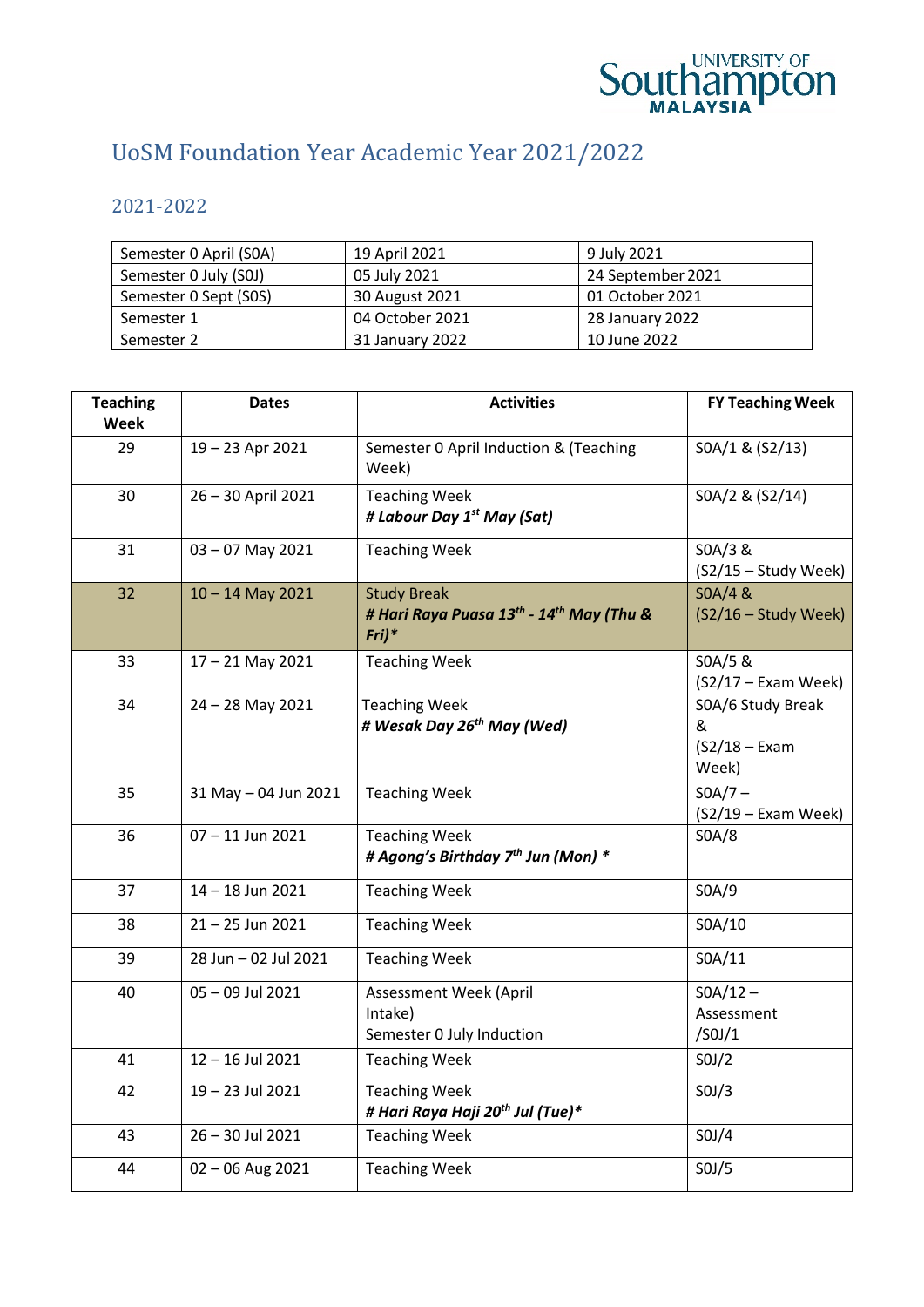

## UoSM Foundation Year Academic Year 2021/2022

2021-2022

| Semester 0 April (SOA) | 19 April 2021   | 9 July 2021       |
|------------------------|-----------------|-------------------|
| Semester 0 July (S0J)  | 05 July 2021    | 24 September 2021 |
| Semester 0 Sept (SOS)  | 30 August 2021  | 01 October 2021   |
| Semester 1             | 04 October 2021 | 28 January 2022   |
| Semester 2             | 31 January 2022 | 10 June 2022      |

| <b>Teaching</b><br>Week | <b>Dates</b>         | <b>Activities</b>                                                                                 | <b>FY Teaching Week</b>                             |
|-------------------------|----------------------|---------------------------------------------------------------------------------------------------|-----------------------------------------------------|
| 29                      | 19-23 Apr 2021       | Semester 0 April Induction & (Teaching<br>Week)                                                   | SOA/1 & (S2/13)                                     |
| 30                      | 26-30 April 2021     | <b>Teaching Week</b><br># Labour Day 1 <sup>st</sup> May (Sat)                                    | SOA/2 & (S2/14)                                     |
| 31                      | 03-07 May 2021       | <b>Teaching Week</b>                                                                              | SOA/3 &<br>$(S2/15 - Study Week)$                   |
| 32                      | $10 - 14$ May 2021   | <b>Study Break</b><br># Hari Raya Puasa 13 <sup>th</sup> - 14 <sup>th</sup> May (Thu &<br>$Fri)*$ | SOA/4 &<br>(S2/16 - Study Week)                     |
| 33                      | $17 - 21$ May 2021   | <b>Teaching Week</b>                                                                              | SOA/5 &<br>(S2/17 - Exam Week)                      |
| 34                      | 24 - 28 May 2021     | <b>Teaching Week</b><br># Wesak Day 26 <sup>th</sup> May (Wed)                                    | SOA/6 Study Break<br>&<br>$(S2/18 - Exam)$<br>Week) |
| 35                      | 31 May - 04 Jun 2021 | <b>Teaching Week</b>                                                                              | $SOA/7 -$<br>(S2/19 - Exam Week)                    |
| 36                      | $07 - 11$ Jun 2021   | <b>Teaching Week</b><br># Agong's Birthday 7 <sup>th</sup> Jun (Mon) *                            | SOA/8                                               |
| 37                      | $14 - 18$ Jun 2021   | <b>Teaching Week</b>                                                                              | SOA/9                                               |
| 38                      | $21 - 25$ Jun 2021   | <b>Teaching Week</b>                                                                              | SOA/10                                              |
| 39                      | 28 Jun - 02 Jul 2021 | <b>Teaching Week</b>                                                                              | SOA/11                                              |
| 40                      | 05-09 Jul 2021       | Assessment Week (April<br>Intake)<br>Semester 0 July Induction                                    | $SOA/12 -$<br>Assessment<br>/SOJ/1                  |
| 41                      | $12 - 16$ Jul 2021   | <b>Teaching Week</b>                                                                              | SOJ/2                                               |
| 42                      | 19-23 Jul 2021       | <b>Teaching Week</b><br># Hari Raya Haji 20 <sup>th</sup> Jul (Tue)*                              | SOJ/3                                               |
| 43                      | 26 - 30 Jul 2021     | <b>Teaching Week</b>                                                                              | SOJ/4                                               |
| 44                      | $02 - 06$ Aug 2021   | <b>Teaching Week</b>                                                                              | SOJ/5                                               |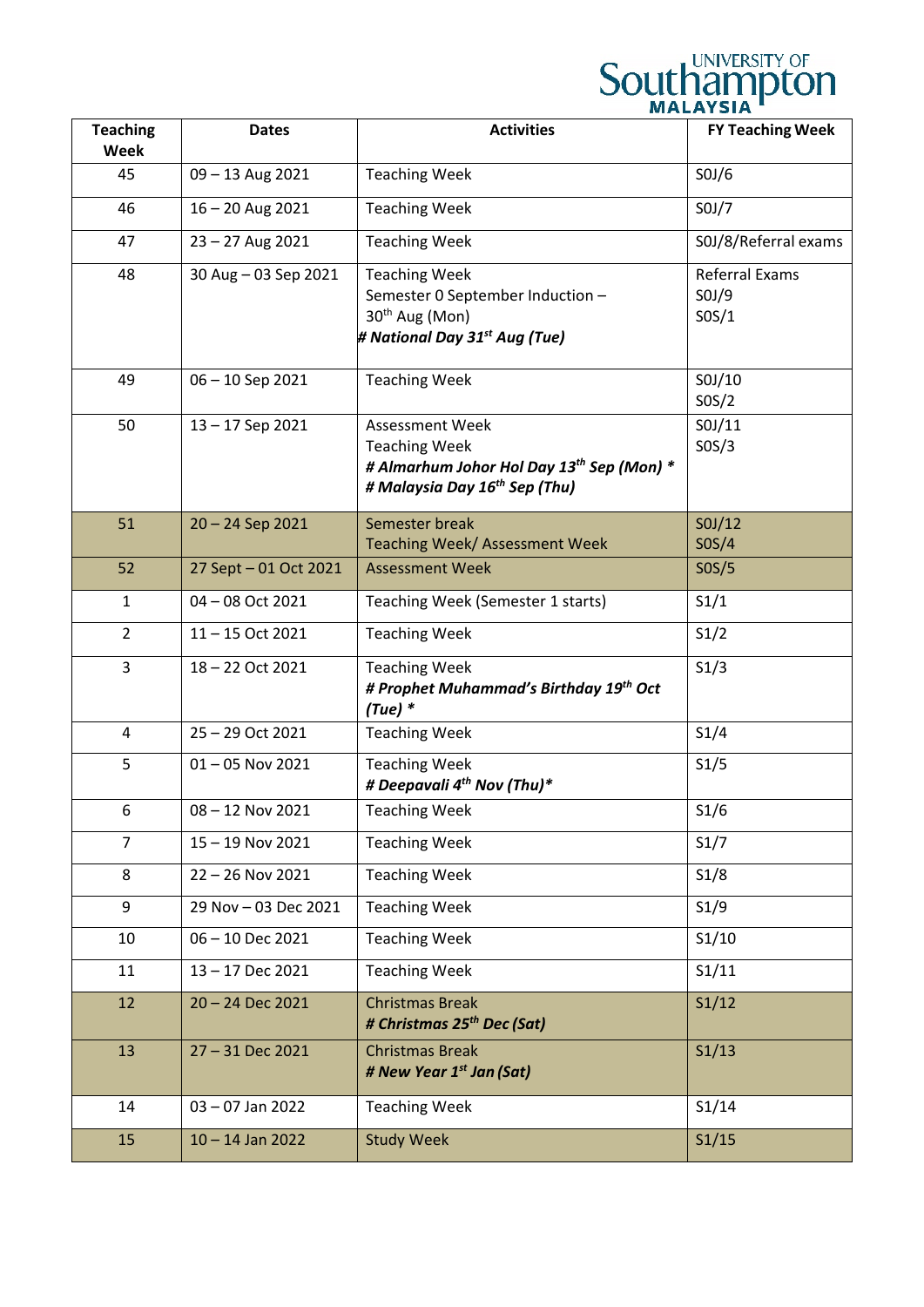|                                |                       |                                                                                                                                                      | UNIVERSITY OF<br><b>Southampton</b>     |
|--------------------------------|-----------------------|------------------------------------------------------------------------------------------------------------------------------------------------------|-----------------------------------------|
| <b>Teaching</b><br><b>Week</b> | <b>Dates</b>          | <b>Activities</b>                                                                                                                                    | <b>FY Teaching Week</b>                 |
| 45                             | 09 - 13 Aug 2021      | <b>Teaching Week</b>                                                                                                                                 | SOJ/6                                   |
| 46                             | $16 - 20$ Aug 2021    | <b>Teaching Week</b>                                                                                                                                 | SOJ/7                                   |
| 47                             | 23 - 27 Aug 2021      | <b>Teaching Week</b>                                                                                                                                 | S0J/8/Referral exams                    |
| 48                             | 30 Aug - 03 Sep 2021  | <b>Teaching Week</b><br>Semester 0 September Induction -<br>30 <sup>th</sup> Aug (Mon)<br># National Day 31 <sup>st</sup> Aug (Tue)                  | <b>Referral Exams</b><br>SOJ/9<br>SOS/1 |
| 49                             | 06 - 10 Sep 2021      | <b>Teaching Week</b>                                                                                                                                 | SOJ/10<br>SOS/2                         |
| 50                             | 13-17 Sep 2021        | <b>Assessment Week</b><br><b>Teaching Week</b><br># Almarhum Johor Hol Day 13 <sup>th</sup> Sep (Mon) *<br># Malaysia Day 16 <sup>th</sup> Sep (Thu) | SOJ/11<br>SOS/3                         |
| 51                             | $20 - 24$ Sep 2021    | Semester break<br>Teaching Week/ Assessment Week                                                                                                     | SOJ/12<br>SOS/4                         |
| 52                             | 27 Sept - 01 Oct 2021 | <b>Assessment Week</b>                                                                                                                               | SOS/5                                   |
| $\mathbf{1}$                   | 04 - 08 Oct 2021      | Teaching Week (Semester 1 starts)                                                                                                                    | S1/1                                    |
| $\overline{2}$                 | 11-15 Oct 2021        | <b>Teaching Week</b>                                                                                                                                 | S1/2                                    |
| 3                              | 18-22 Oct 2021        | <b>Teaching Week</b><br># Prophet Muhammad's Birthday 19th Oct<br>$(Tue)*$                                                                           | S1/3                                    |
| 4                              | 25 - 29 Oct 2021      | <b>Teaching Week</b>                                                                                                                                 | S1/4                                    |
| 5                              | $01 - 05$ Nov 2021    | <b>Teaching Week</b><br># Deepavali 4 <sup>th</sup> Nov (Thu)*                                                                                       | S1/5                                    |
| 6                              | $08 - 12$ Nov 2021    | <b>Teaching Week</b>                                                                                                                                 | S1/6                                    |
| $\overline{7}$                 | 15-19 Nov 2021        | <b>Teaching Week</b>                                                                                                                                 | S1/7                                    |
| 8                              | 22 - 26 Nov 2021      | <b>Teaching Week</b>                                                                                                                                 | S1/8                                    |
| 9                              | 29 Nov - 03 Dec 2021  | <b>Teaching Week</b>                                                                                                                                 | S1/9                                    |
| 10                             | 06 - 10 Dec 2021      | <b>Teaching Week</b>                                                                                                                                 | S1/10                                   |
| 11                             | 13-17 Dec 2021        | <b>Teaching Week</b>                                                                                                                                 | S1/11                                   |
| 12                             | 20 - 24 Dec 2021      | <b>Christmas Break</b><br># Christmas 25 <sup>th</sup> Dec (Sat)                                                                                     | S1/12                                   |
| 13                             | 27 - 31 Dec 2021      | <b>Christmas Break</b><br># New Year 1 <sup>st</sup> Jan (Sat)                                                                                       | S1/13                                   |
| 14                             | $03 - 07$ Jan 2022    | <b>Teaching Week</b>                                                                                                                                 | S1/14                                   |
| 15                             | $10 - 14$ Jan 2022    | <b>Study Week</b>                                                                                                                                    | S1/15                                   |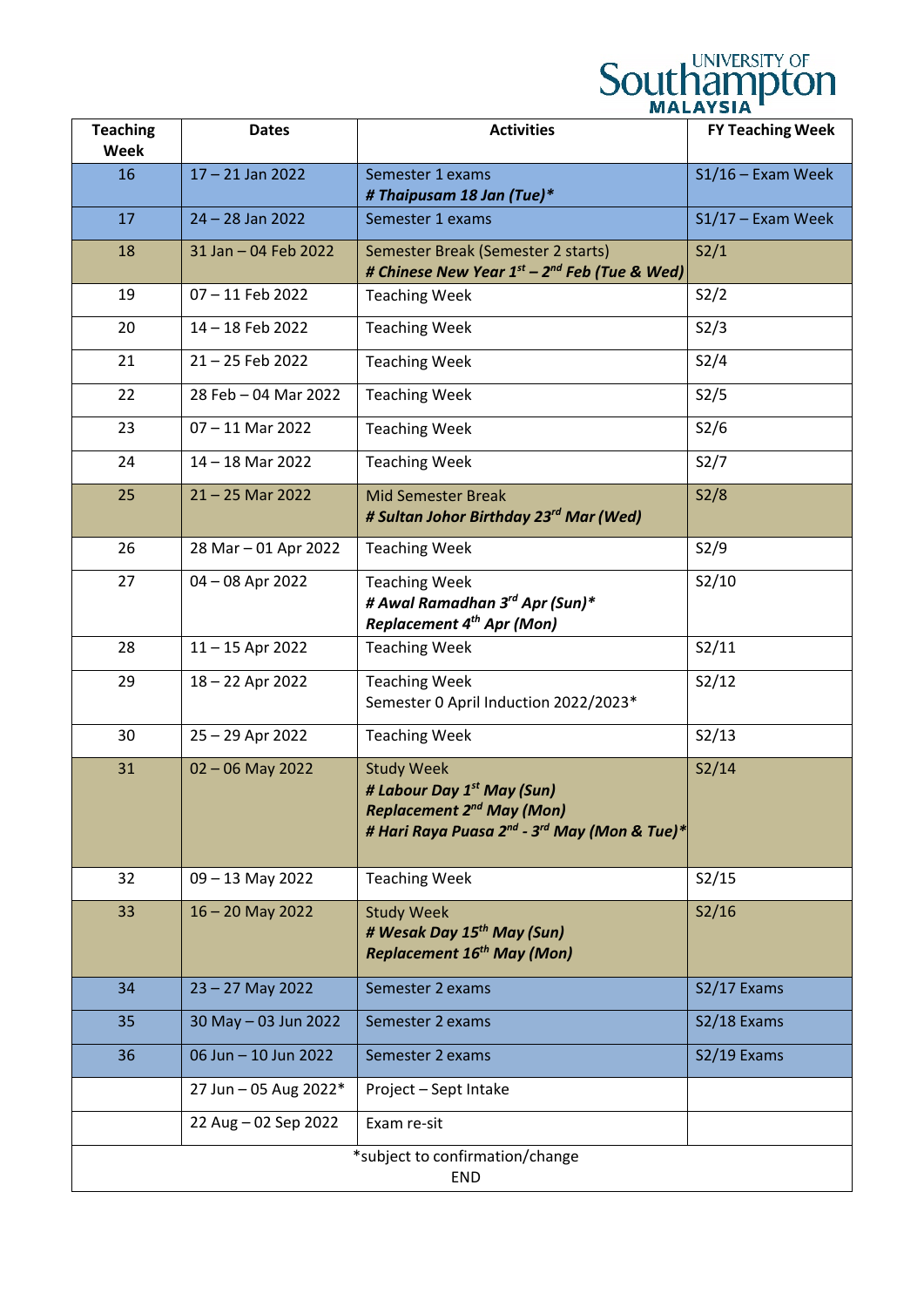## **Southampton**

| <b>Teaching</b><br><b>Week</b>                | <b>Dates</b>          | <b>Activities</b>                                                                                                                                                       | <b>FY Teaching Week</b> |
|-----------------------------------------------|-----------------------|-------------------------------------------------------------------------------------------------------------------------------------------------------------------------|-------------------------|
| 16                                            | $17 - 21$ Jan 2022    | Semester 1 exams<br># Thaipusam 18 Jan (Tue)*                                                                                                                           | $S1/16$ – Exam Week     |
| 17                                            | $24 - 28$ Jan 2022    | Semester 1 exams                                                                                                                                                        | $S1/17$ – Exam Week     |
| 18                                            | 31 Jan - 04 Feb 2022  | Semester Break (Semester 2 starts)<br># Chinese New Year 1 <sup>st</sup> – 2 <sup>nd</sup> Feb (Tue & Wed)                                                              | S2/1                    |
| 19                                            | 07-11 Feb 2022        | <b>Teaching Week</b>                                                                                                                                                    | S2/2                    |
| 20                                            | 14-18 Feb 2022        | <b>Teaching Week</b>                                                                                                                                                    | S2/3                    |
| 21                                            | 21-25 Feb 2022        | <b>Teaching Week</b>                                                                                                                                                    | S2/4                    |
| 22                                            | 28 Feb - 04 Mar 2022  | <b>Teaching Week</b>                                                                                                                                                    | S2/5                    |
| 23                                            | $07 - 11$ Mar 2022    | <b>Teaching Week</b>                                                                                                                                                    | S2/6                    |
| 24                                            | $14 - 18$ Mar 2022    | <b>Teaching Week</b>                                                                                                                                                    | S2/7                    |
| 25                                            | $21 - 25$ Mar 2022    | <b>Mid Semester Break</b><br># Sultan Johor Birthday 23 <sup>rd</sup> Mar (Wed)                                                                                         | S2/8                    |
| 26                                            | 28 Mar - 01 Apr 2022  | <b>Teaching Week</b>                                                                                                                                                    | S2/9                    |
| 27                                            | 04 - 08 Apr 2022      | <b>Teaching Week</b><br># Awal Ramadhan 3rd Apr (Sun)*<br><b>Replacement 4th Apr (Mon)</b>                                                                              | S2/10                   |
| 28                                            | $11 - 15$ Apr 2022    | <b>Teaching Week</b>                                                                                                                                                    | S2/11                   |
| 29                                            | 18 - 22 Apr 2022      | <b>Teaching Week</b><br>Semester 0 April Induction 2022/2023*                                                                                                           | S2/12                   |
| 30                                            | 25 - 29 Apr 2022      | <b>Teaching Week</b>                                                                                                                                                    | S2/13                   |
| 31                                            | $02 - 06$ May 2022    | <b>Study Week</b><br># Labour Day 1 <sup>st</sup> May (Sun)<br><b>Replacement 2nd May (Mon)</b><br># Hari Raya Puasa 2 <sup>nd</sup> - 3 <sup>rd</sup> May (Mon & Tue)* | S2/14                   |
| 32                                            | $09 - 13$ May 2022    | <b>Teaching Week</b>                                                                                                                                                    | S2/15                   |
| 33                                            | $16 - 20$ May 2022    | <b>Study Week</b><br># Wesak Day 15 <sup>th</sup> May (Sun)<br><b>Replacement 16<sup>th</sup> May (Mon)</b>                                                             | S2/16                   |
| 34                                            | $23 - 27$ May 2022    | Semester 2 exams                                                                                                                                                        | S2/17 Exams             |
| 35                                            | 30 May - 03 Jun 2022  | Semester 2 exams                                                                                                                                                        | S2/18 Exams             |
| 36                                            | 06 Jun - 10 Jun 2022  | Semester 2 exams                                                                                                                                                        | S2/19 Exams             |
|                                               | 27 Jun - 05 Aug 2022* | Project - Sept Intake                                                                                                                                                   |                         |
|                                               | 22 Aug - 02 Sep 2022  | Exam re-sit                                                                                                                                                             |                         |
| *subject to confirmation/change<br><b>END</b> |                       |                                                                                                                                                                         |                         |